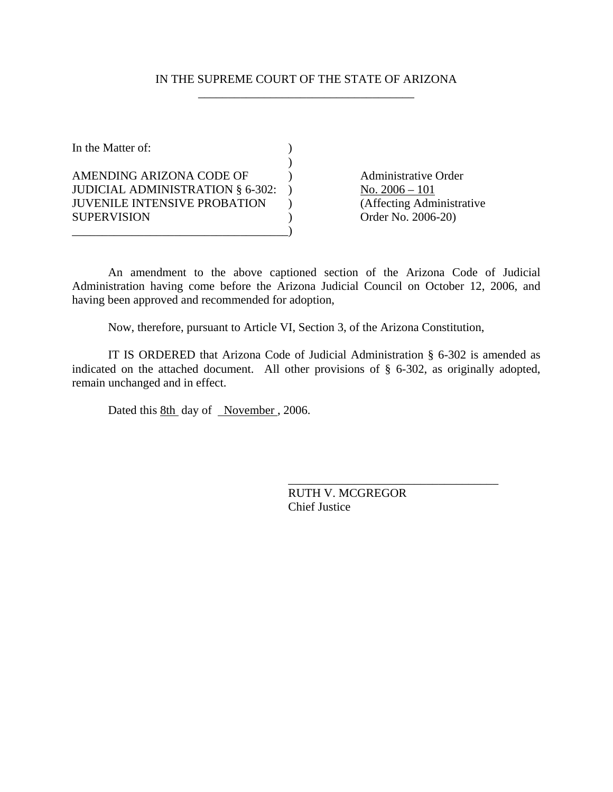## IN THE SUPREME COURT OF THE STATE OF ARIZONA \_\_\_\_\_\_\_\_\_\_\_\_\_\_\_\_\_\_\_\_\_\_\_\_\_\_\_\_\_\_\_\_\_\_\_\_

In the Matter of:  $\qquad \qquad$  )  $\mathcal{L}$ AMENDING ARIZONA CODE OF (a) Administrative Order JUDICIAL ADMINISTRATION  $§ 6-302:$  No.  $2006-101$ JUVENILE INTENSIVE PROBATION ) (Affecting Administrative SUPERVISION ) Order No. 2006-20) \_\_\_\_\_\_\_\_\_\_\_\_\_\_\_\_\_\_\_\_\_\_\_\_\_\_\_\_\_\_\_\_\_\_\_\_)

An amendment to the above captioned section of the Arizona Code of Judicial Administration having come before the Arizona Judicial Council on October 12, 2006, and having been approved and recommended for adoption,

Now, therefore, pursuant to Article VI, Section 3, of the Arizona Constitution,

IT IS ORDERED that Arizona Code of Judicial Administration § 6-302 is amended as indicated on the attached document. All other provisions of § 6-302, as originally adopted, remain unchanged and in effect.

Dated this 8th day of November, 2006.

RUTH V. MCGREGOR Chief Justice

\_\_\_\_\_\_\_\_\_\_\_\_\_\_\_\_\_\_\_\_\_\_\_\_\_\_\_\_\_\_\_\_\_\_\_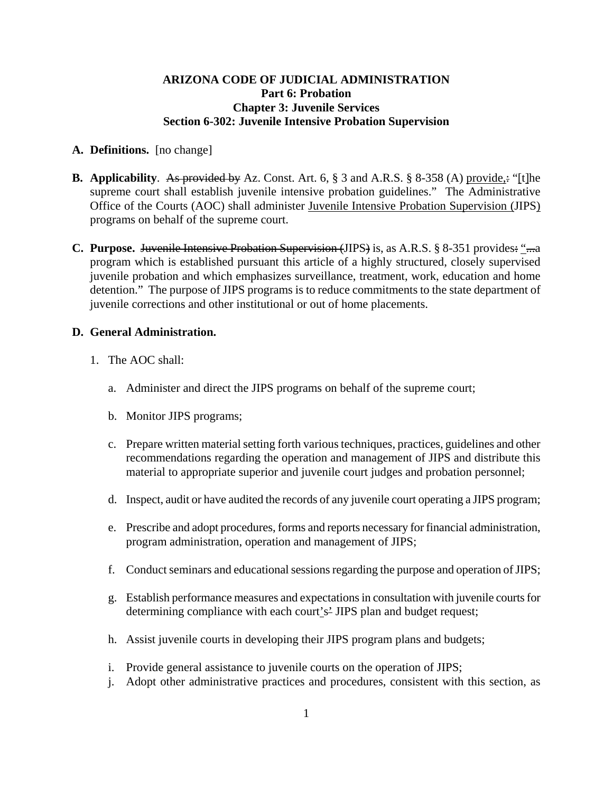## **ARIZONA CODE OF JUDICIAL ADMINISTRATION Part 6: Probation Chapter 3: Juvenile Services Section 6-302: Juvenile Intensive Probation Supervision**

#### **A. Definitions.** [no change]

- **B. Applicability**. As provided by Az. Const. Art. 6, § 3 and A.R.S. § 8-358 (A) provide,: "[t]he supreme court shall establish juvenile intensive probation guidelines." The Administrative Office of the Courts (AOC) shall administer Juvenile Intensive Probation Supervision (JIPS) programs on behalf of the supreme court.
- **C.** Purpose. Juvenile Intensive Probation Supervision (JIPS) is, as A.R.S. § 8-351 provides: "...a program which is established pursuant this article of a highly structured, closely supervised juvenile probation and which emphasizes surveillance, treatment, work, education and home detention." The purpose of JIPS programs is to reduce commitments to the state department of juvenile corrections and other institutional or out of home placements.

#### **D. General Administration.**

- 1. The AOC shall:
	- a. Administer and direct the JIPS programs on behalf of the supreme court;
	- b. Monitor JIPS programs;
	- c. Prepare written material setting forth various techniques, practices, guidelines and other recommendations regarding the operation and management of JIPS and distribute this material to appropriate superior and juvenile court judges and probation personnel;
	- d. Inspect, audit or have audited the records of any juvenile court operating a JIPS program;
	- e. Prescribe and adopt procedures, forms and reports necessary for financial administration, program administration, operation and management of JIPS;
	- f. Conduct seminars and educational sessions regarding the purpose and operation of JIPS;
	- g. Establish performance measures and expectations in consultation with juvenile courts for determining compliance with each court's' JIPS plan and budget request;
	- h. Assist juvenile courts in developing their JIPS program plans and budgets;
	- i. Provide general assistance to juvenile courts on the operation of JIPS;
	- j. Adopt other administrative practices and procedures, consistent with this section, as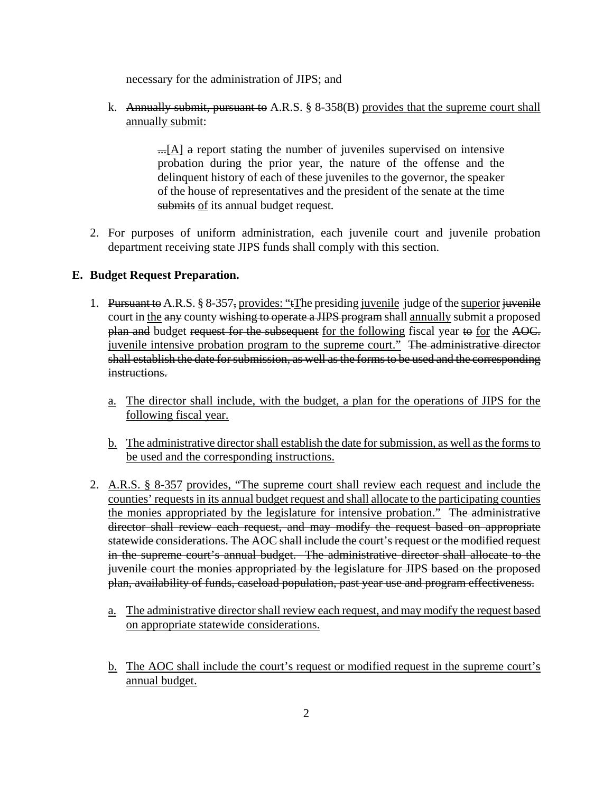necessary for the administration of JIPS; and

k. Annually submit, pursuant to A.R.S.  $\S$  8-358(B) provides that the supreme court shall annually submit:

> $\Box$ [A] a report stating the number of juveniles supervised on intensive probation during the prior year, the nature of the offense and the delinquent history of each of these juveniles to the governor, the speaker of the house of representatives and the president of the senate at the time submits of its annual budget request*.*

2. For purposes of uniform administration, each juvenile court and juvenile probation department receiving state JIPS funds shall comply with this section.

# **E. Budget Request Preparation.**

- 1. Pursuant to A.R.S. § 8-357, provides: "tThe presiding juvenile judge of the superior juvenile court in the any county wishing to operate a JIPS program shall annually submit a proposed plan and budget request for the subsequent for the following fiscal year to for the AOC. juvenile intensive probation program to the supreme court." The administrative director shall establish the date for submission, as well as the forms to be used and the corresponding instructions.
	- a. The director shall include, with the budget, a plan for the operations of JIPS for the following fiscal year.
	- b. The administrative director shall establish the date for submission, as well as the forms to be used and the corresponding instructions.
- 2. A.R.S. § 8-357 provides, "The supreme court shall review each request and include the counties' requests in its annual budget request and shall allocate to the participating counties the monies appropriated by the legislature for intensive probation." The administrative director shall review each request, and may modify the request based on appropriate statewide considerations. The AOC shall include the court's request or the modified request in the supreme court's annual budget. The administrative director shall allocate to the juvenile court the monies appropriated by the legislature for JIPS based on the proposed plan, availability of funds, caseload population, past year use and program effectiveness.
	- a. The administrative director shall review each request, and may modify the request based on appropriate statewide considerations.
	- b. The AOC shall include the court's request or modified request in the supreme court's annual budget.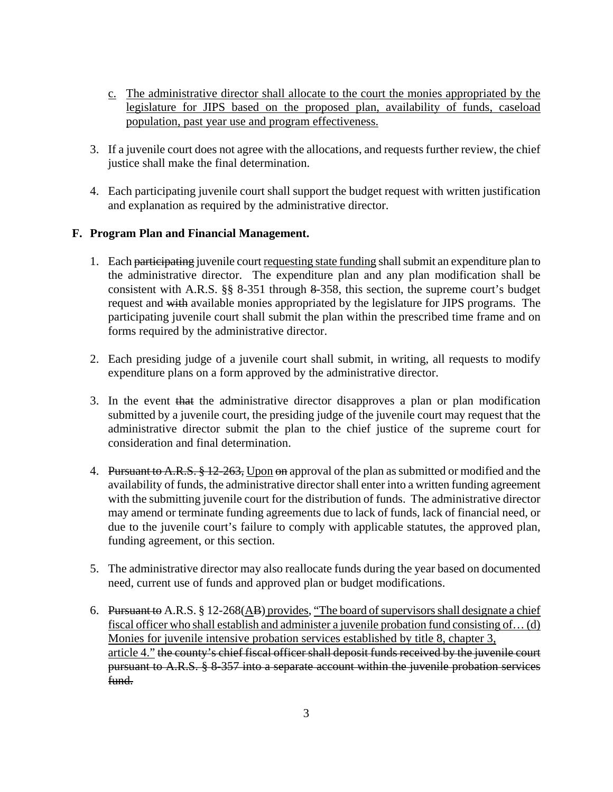- c. The administrative director shall allocate to the court the monies appropriated by the legislature for JIPS based on the proposed plan, availability of funds, caseload population, past year use and program effectiveness.
- 3. If a juvenile court does not agree with the allocations, and requests further review, the chief justice shall make the final determination.
- 4. Each participating juvenile court shall support the budget request with written justification and explanation as required by the administrative director.

# **F. Program Plan and Financial Management.**

- 1. Each participating juvenile court requesting state funding shall submit an expenditure plan to the administrative director. The expenditure plan and any plan modification shall be consistent with A.R.S. §§ 8-351 through 8-358, this section, the supreme court's budget request and with available monies appropriated by the legislature for JIPS programs. The participating juvenile court shall submit the plan within the prescribed time frame and on forms required by the administrative director.
- 2. Each presiding judge of a juvenile court shall submit, in writing, all requests to modify expenditure plans on a form approved by the administrative director.
- 3. In the event that the administrative director disapproves a plan or plan modification submitted by a juvenile court, the presiding judge of the juvenile court may request that the administrative director submit the plan to the chief justice of the supreme court for consideration and final determination.
- 4. Pursuant to A.R.S. § 12-263, Upon on approval of the plan as submitted or modified and the availability of funds, the administrative director shall enter into a written funding agreement with the submitting juvenile court for the distribution of funds. The administrative director may amend or terminate funding agreements due to lack of funds, lack of financial need, or due to the juvenile court's failure to comply with applicable statutes, the approved plan, funding agreement, or this section.
- 5. The administrative director may also reallocate funds during the year based on documented need, current use of funds and approved plan or budget modifications.
- 6. Pursuant to A.R.S. § 12-268(AB) provides, "The board of supervisors shall designate a chief fiscal officer who shall establish and administer a juvenile probation fund consisting of… (d) Monies for juvenile intensive probation services established by title 8, chapter 3, article 4." the county's chief fiscal officer shall deposit funds received by the juvenile court pursuant to A.R.S. § 8-357 into a separate account within the juvenile probation services fund.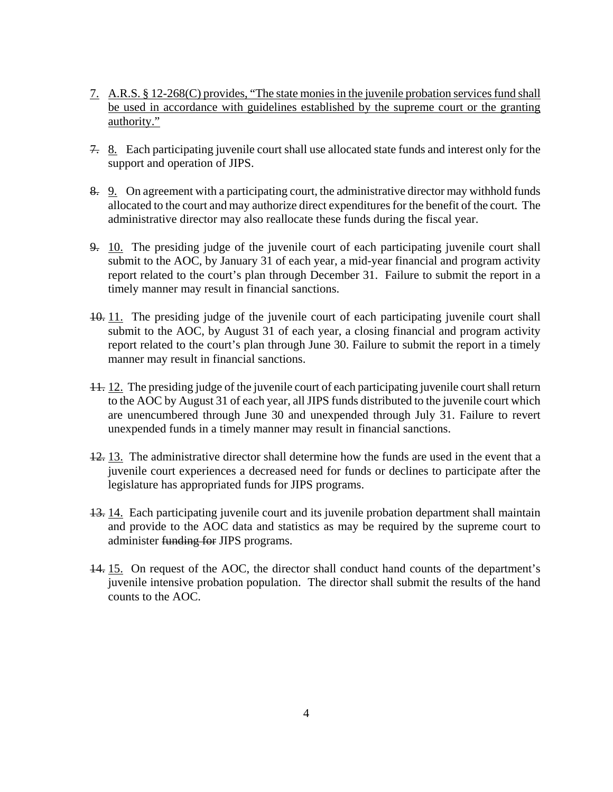- 7. A.R.S. § 12-268(C) provides, "The state monies in the juvenile probation services fund shall be used in accordance with guidelines established by the supreme court or the granting authority."
- 7. 8. Each participating juvenile court shall use allocated state funds and interest only for the support and operation of JIPS.
- 8. 9. On agreement with a participating court, the administrative director may withhold funds allocated to the court and may authorize direct expenditures for the benefit of the court. The administrative director may also reallocate these funds during the fiscal year.
- 9. 10. The presiding judge of the juvenile court of each participating juvenile court shall submit to the AOC, by January 31 of each year, a mid-year financial and program activity report related to the court's plan through December 31. Failure to submit the report in a timely manner may result in financial sanctions.
- 10. 11. The presiding judge of the juvenile court of each participating juvenile court shall submit to the AOC, by August 31 of each year, a closing financial and program activity report related to the court's plan through June 30. Failure to submit the report in a timely manner may result in financial sanctions.
- 11. 12. The presiding judge of the juvenile court of each participating juvenile court shall return to the AOC by August 31 of each year, all JIPS funds distributed to the juvenile court which are unencumbered through June 30 and unexpended through July 31. Failure to revert unexpended funds in a timely manner may result in financial sanctions.
- 12. 13. The administrative director shall determine how the funds are used in the event that a juvenile court experiences a decreased need for funds or declines to participate after the legislature has appropriated funds for JIPS programs.
- 13. 14. Each participating juvenile court and its juvenile probation department shall maintain and provide to the AOC data and statistics as may be required by the supreme court to administer funding for JIPS programs.
- 14. 15. On request of the AOC, the director shall conduct hand counts of the department's juvenile intensive probation population. The director shall submit the results of the hand counts to the AOC.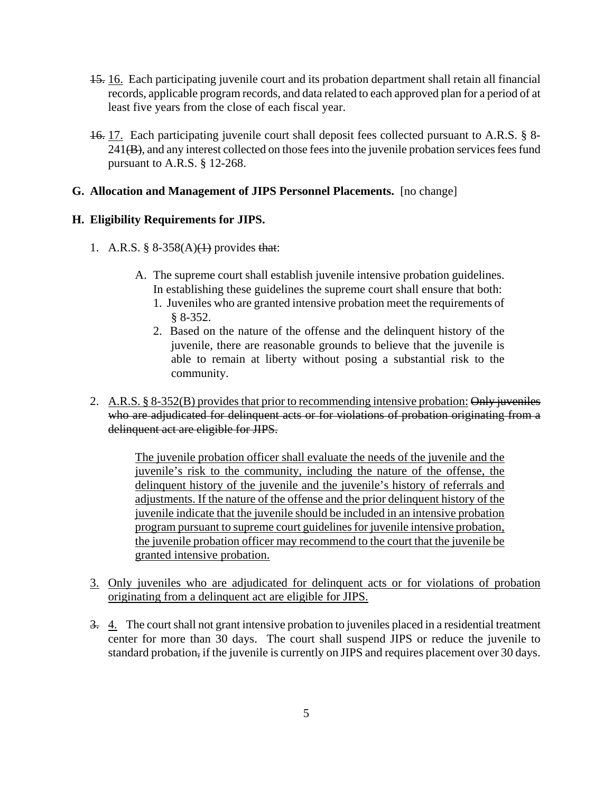- 15. 16. Each participating juvenile court and its probation department shall retain all financial records, applicable program records, and data related to each approved plan for a period of at least five years from the close of each fiscal year.
- 16. 17. Each participating juvenile court shall deposit fees collected pursuant to A.R.S. § 8- 241(B), and any interest collected on those fees into the juvenile probation services fees fund pursuant to A.R.S. § 12-268.

## **G. Allocation and Management of JIPS Personnel Placements.** [no change]

# **H. Eligibility Requirements for JIPS.**

- 1. A.R.S.  $§ 8-358(A)(1)$  provides that:
	- A. The supreme court shall establish juvenile intensive probation guidelines. In establishing these guidelines the supreme court shall ensure that both:
		- 1. Juveniles who are granted intensive probation meet the requirements of § 8-352.
		- 2. Based on the nature of the offense and the delinquent history of the juvenile, there are reasonable grounds to believe that the juvenile is able to remain at liberty without posing a substantial risk to the community.
- 2. A.R.S. § 8-352(B) provides that prior to recommending intensive probation: Only juveniles who are adjudicated for delinquent acts or for violations of probation originating from a delinquent act are eligible for JIPS.

The juvenile probation officer shall evaluate the needs of the juvenile and the juvenile's risk to the community, including the nature of the offense, the delinquent history of the juvenile and the juvenile's history of referrals and adjustments. If the nature of the offense and the prior delinquent history of the juvenile indicate that the juvenile should be included in an intensive probation program pursuant to supreme court guidelines for juvenile intensive probation, the juvenile probation officer may recommend to the court that the juvenile be granted intensive probation.

- 3. Only juveniles who are adjudicated for delinquent acts or for violations of probation originating from a delinquent act are eligible for JIPS.
- 3. 4. The court shall not grant intensive probation to juveniles placed in a residential treatment center for more than 30 days. The court shall suspend JIPS or reduce the juvenile to standard probation, if the juvenile is currently on JIPS and requires placement over 30 days.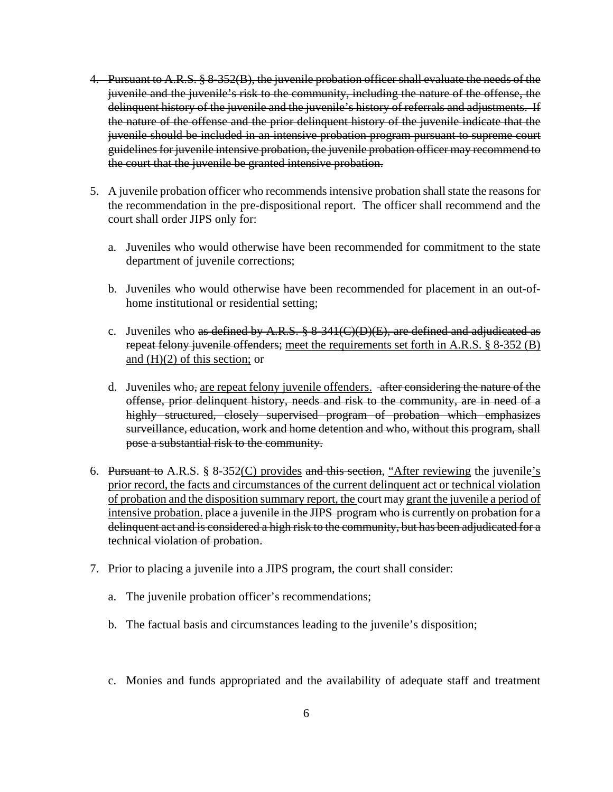- 4. Pursuant to A.R.S. § 8-352(B), the juvenile probation officer shall evaluate the needs of the juvenile and the juvenile's risk to the community, including the nature of the offense, the delinquent history of the juvenile and the juvenile's history of referrals and adjustments. If the nature of the offense and the prior delinquent history of the juvenile indicate that the juvenile should be included in an intensive probation program pursuant to supreme court guidelines for juvenile intensive probation, the juvenile probation officer may recommend to the court that the juvenile be granted intensive probation.
- 5. A juvenile probation officer who recommends intensive probation shall state the reasons for the recommendation in the pre-dispositional report. The officer shall recommend and the court shall order JIPS only for:
	- a. Juveniles who would otherwise have been recommended for commitment to the state department of juvenile corrections;
	- b. Juveniles who would otherwise have been recommended for placement in an out-ofhome institutional or residential setting;
	- c. Juveniles who as defined by A.R.S.  $\S 8-341(C)(D)(E)$ , are defined and adjudicated as repeat felony juvenile offenders; meet the requirements set forth in A.R.S. § 8-352 (B) and  $(H)(2)$  of this section; or
	- d. Juveniles who, are repeat felony juvenile offenders. after considering the nature of the offense, prior delinquent history, needs and risk to the community, are in need of a highly structured, closely supervised program of probation which emphasizes surveillance, education, work and home detention and who, without this program, shall pose a substantial risk to the community.
- 6. Pursuant to A.R.S. § 8-352(C) provides and this section, "After reviewing the juvenile's prior record, the facts and circumstances of the current delinquent act or technical violation of probation and the disposition summary report, the court may grant the juvenile a period of intensive probation. place a juvenile in the JIPS program who is currently on probation for a delinquent act and is considered a high risk to the community, but has been adjudicated for a technical violation of probation.
- 7. Prior to placing a juvenile into a JIPS program, the court shall consider:
	- a. The juvenile probation officer's recommendations;
	- b. The factual basis and circumstances leading to the juvenile's disposition;
	- c. Monies and funds appropriated and the availability of adequate staff and treatment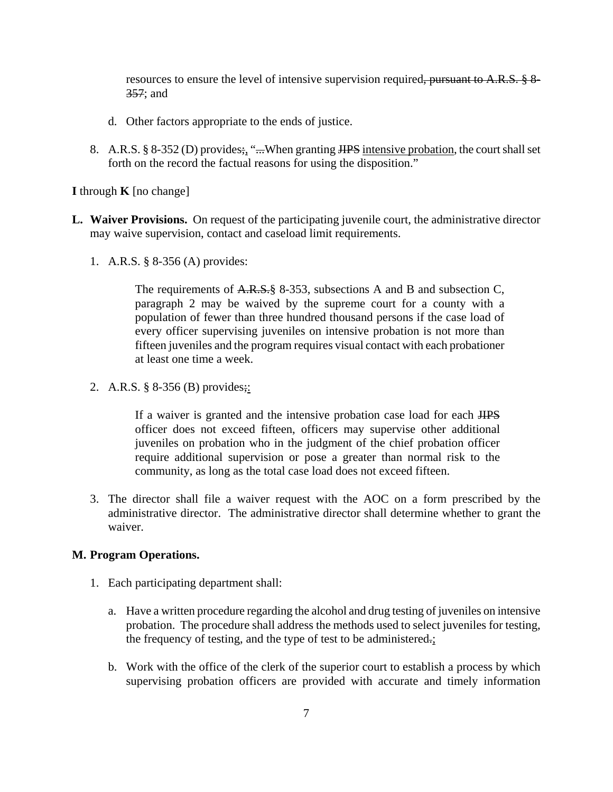resources to ensure the level of intensive supervision required, pursuant to A.R.S. § 8-357; and

- d. Other factors appropriate to the ends of justice.
- 8. A.R.S. § 8-352 (D) provides; "...When granting HPS intensive probation, the court shall set forth on the record the factual reasons for using the disposition."

#### **I** through  $\bf{K}$  [no change]

- **L. Waiver Provisions.** On request of the participating juvenile court, the administrative director may waive supervision, contact and caseload limit requirements.
	- 1. A.R.S. § 8-356 (A) provides:

The requirements of A.R.S. § 8-353, subsections A and B and subsection C, paragraph 2 may be waived by the supreme court for a county with a population of fewer than three hundred thousand persons if the case load of every officer supervising juveniles on intensive probation is not more than fifteen juveniles and the program requires visual contact with each probationer at least one time a week.

2. A.R.S. § 8-356 (B) provides;:

If a waiver is granted and the intensive probation case load for each JIPS officer does not exceed fifteen, officers may supervise other additional juveniles on probation who in the judgment of the chief probation officer require additional supervision or pose a greater than normal risk to the community, as long as the total case load does not exceed fifteen.

3. The director shall file a waiver request with the AOC on a form prescribed by the administrative director. The administrative director shall determine whether to grant the waiver.

#### **M. Program Operations.**

- 1. Each participating department shall:
	- a. Have a written procedure regarding the alcohol and drug testing of juveniles on intensive probation. The procedure shall address the methods used to select juveniles for testing, the frequency of testing, and the type of test to be administered.;
	- b. Work with the office of the clerk of the superior court to establish a process by which supervising probation officers are provided with accurate and timely information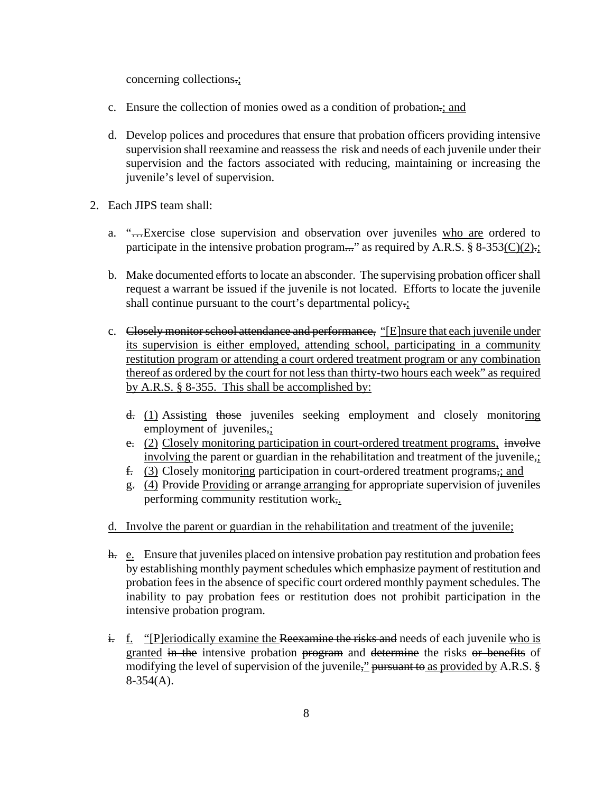concerning collections.;

- c. Ensure the collection of monies owed as a condition of probation.; and
- d. Develop polices and procedures that ensure that probation officers providing intensive supervision shall reexamine and reassess the risk and needs of each juvenile under their supervision and the factors associated with reducing, maintaining or increasing the juvenile's level of supervision.
- 2. Each JIPS team shall:
	- a. "...Exercise close supervision and observation over juveniles who are ordered to participate in the intensive probation program..." as required by A.R.S. § 8-353( $C$ )(2) $\frac{1}{2}$ ;
	- b. Make documented efforts to locate an absconder. The supervising probation officer shall request a warrant be issued if the juvenile is not located. Efforts to locate the juvenile shall continue pursuant to the court's departmental policy.;
	- c. Closely monitor school attendance and performance, "[E]nsure that each juvenile under its supervision is either employed, attending school, participating in a community restitution program or attending a court ordered treatment program or any combination thereof as ordered by the court for not less than thirty-two hours each week" as required by A.R.S. § 8-355. This shall be accomplished by:
		- d. (1) Assisting those juveniles seeking employment and closely monitoring employment of juveniles,;
		- e. (2) Closely monitoring participation in court-ordered treatment programs, involve involving the parent or guardian in the rehabilitation and treatment of the juvenile,;
		- f. (3) Closely monitoring participation in court-ordered treatment programs,; and
		- $g<sub>z</sub>$  (4) Provide Providing or arrange arranging for appropriate supervision of juveniles performing community restitution work,.
	- d. Involve the parent or guardian in the rehabilitation and treatment of the juvenile;
	- h. e. Ensure that juveniles placed on intensive probation pay restitution and probation fees by establishing monthly payment schedules which emphasize payment of restitution and probation fees in the absence of specific court ordered monthly payment schedules. The inability to pay probation fees or restitution does not prohibit participation in the intensive probation program.
	- $\frac{1}{x}$  f. "[P]eriodically examine the Reexamine the risks and needs of each juvenile who is granted in the intensive probation program and determine the risks or benefits of modifying the level of supervision of the juvenile," pursuant to as provided by A.R.S.  $\S$ 8-354(A).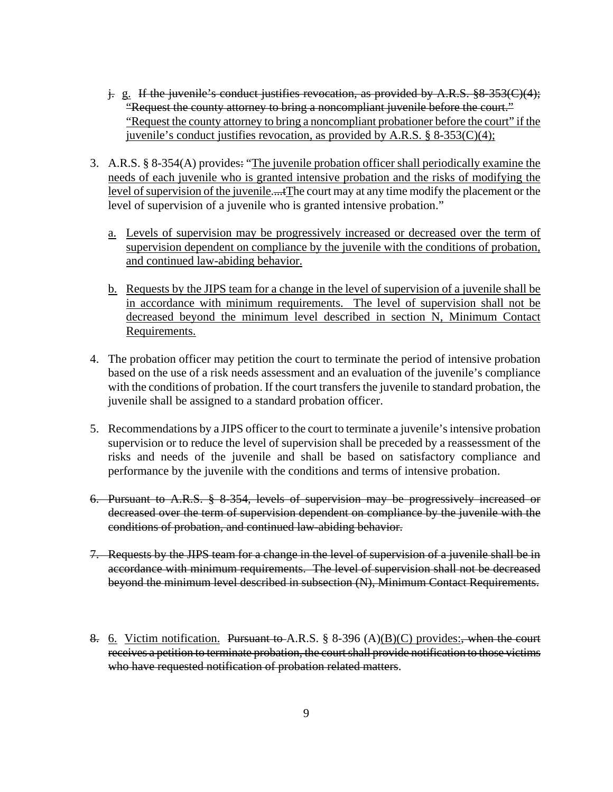- j. g. If the juvenile's conduct justifies revocation, as provided by A.R.S. §8-353(C)(4); "Request the county attorney to bring a noncompliant juvenile before the court." "Request the county attorney to bring a noncompliant probationer before the court" if the juvenile's conduct justifies revocation, as provided by A.R.S. § 8-353(C)(4);
- 3. A.R.S. § 8-354(A) provides: "The juvenile probation officer shall periodically examine the needs of each juvenile who is granted intensive probation and the risks of modifying the level of supervision of the juvenile....tThe court may at any time modify the placement or the level of supervision of a juvenile who is granted intensive probation."
	- a. Levels of supervision may be progressively increased or decreased over the term of supervision dependent on compliance by the juvenile with the conditions of probation, and continued law-abiding behavior.
	- b. Requests by the JIPS team for a change in the level of supervision of a juvenile shall be in accordance with minimum requirements. The level of supervision shall not be decreased beyond the minimum level described in section N, Minimum Contact Requirements.
- 4. The probation officer may petition the court to terminate the period of intensive probation based on the use of a risk needs assessment and an evaluation of the juvenile's compliance with the conditions of probation. If the court transfers the juvenile to standard probation, the juvenile shall be assigned to a standard probation officer.
- 5. Recommendations by a JIPS officer to the court to terminate a juvenile's intensive probation supervision or to reduce the level of supervision shall be preceded by a reassessment of the risks and needs of the juvenile and shall be based on satisfactory compliance and performance by the juvenile with the conditions and terms of intensive probation.
- 6. Pursuant to A.R.S. § 8-354, levels of supervision may be progressively increased or decreased over the term of supervision dependent on compliance by the juvenile with the conditions of probation, and continued law-abiding behavior.
- 7. Requests by the JIPS team for a change in the level of supervision of a juvenile shall be in accordance with minimum requirements. The level of supervision shall not be decreased beyond the minimum level described in subsection (N), Minimum Contact Requirements.
- 8. 6. Victim notification. Pursuant to A.R.S.  $\S$  8-396 (A)(B)(C) provides:, when the court receives a petition to terminate probation, the court shall provide notification to those victims who have requested notification of probation related matters.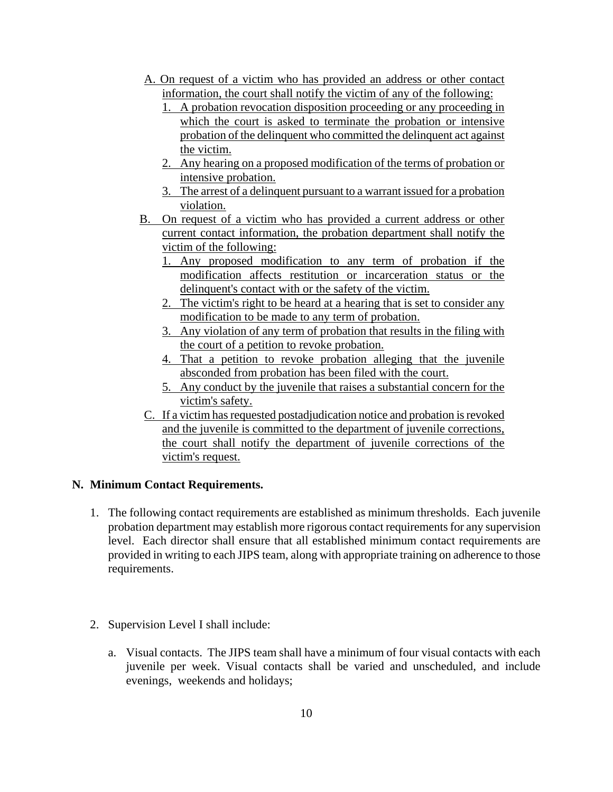- A. On request of a victim who has provided an address or other contact information, the court shall notify the victim of any of the following:
	- 1. A probation revocation disposition proceeding or any proceeding in which the court is asked to terminate the probation or intensive probation of the delinquent who committed the delinquent act against the victim.
	- 2. Any hearing on a proposed modification of the terms of probation or intensive probation.
	- 3. The arrest of a delinquent pursuant to a warrant issued for a probation violation.
- B. On request of a victim who has provided a current address or other current contact information, the probation department shall notify the victim of the following:
	- 1. Any proposed modification to any term of probation if the modification affects restitution or incarceration status or the delinquent's contact with or the safety of the victim.
	- 2. The victim's right to be heard at a hearing that is set to consider any modification to be made to any term of probation.
	- 3. Any violation of any term of probation that results in the filing with the court of a petition to revoke probation.
	- 4. That a petition to revoke probation alleging that the juvenile absconded from probation has been filed with the court.
	- 5. Any conduct by the juvenile that raises a substantial concern for the victim's safety.
- C. If a victim has requested postadjudication notice and probation is revoked and the juvenile is committed to the department of juvenile corrections, the court shall notify the department of juvenile corrections of the victim's request.

# **N. Minimum Contact Requirements.**

- 1. The following contact requirements are established as minimum thresholds. Each juvenile probation department may establish more rigorous contact requirements for any supervision level. Each director shall ensure that all established minimum contact requirements are provided in writing to each JIPS team, along with appropriate training on adherence to those requirements.
- 2. Supervision Level I shall include:
	- a. Visual contacts. The JIPS team shall have a minimum of four visual contacts with each juvenile per week. Visual contacts shall be varied and unscheduled, and include evenings, weekends and holidays;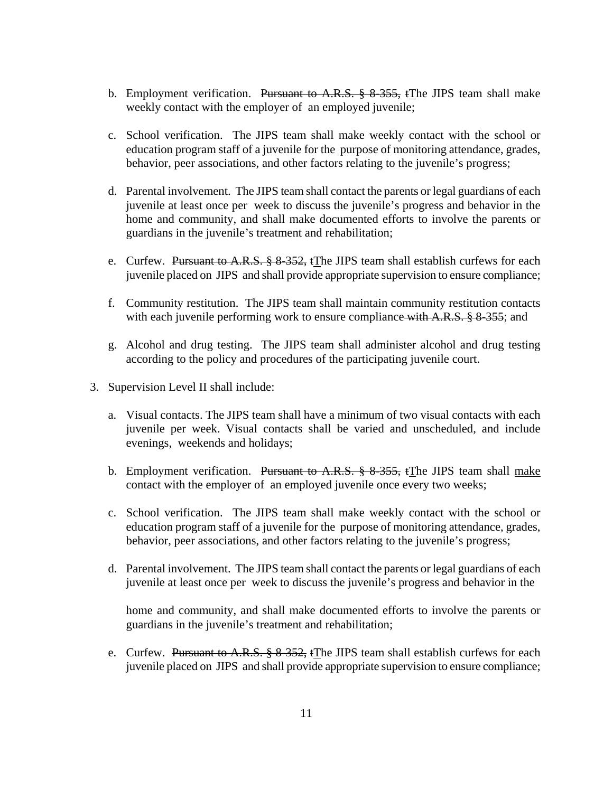- b. Employment verification. Pursuant to A.R.S.  $\frac{8}{5}$  8.355, t The JIPS team shall make weekly contact with the employer of an employed juvenile;
- c. School verification. The JIPS team shall make weekly contact with the school or education program staff of a juvenile for the purpose of monitoring attendance, grades, behavior, peer associations, and other factors relating to the juvenile's progress;
- d. Parental involvement. The JIPS team shall contact the parents or legal guardians of each juvenile at least once per week to discuss the juvenile's progress and behavior in the home and community, and shall make documented efforts to involve the parents or guardians in the juvenile's treatment and rehabilitation;
- e. Curfew. Pursuant to A.R.S.  $\S 8-352$ , tThe JIPS team shall establish curfews for each juvenile placed on JIPS and shall provide appropriate supervision to ensure compliance;
- f. Community restitution. The JIPS team shall maintain community restitution contacts with each juvenile performing work to ensure compliance with A.R.S. § 8-355; and
- g. Alcohol and drug testing.The JIPS team shall administer alcohol and drug testing according to the policy and procedures of the participating juvenile court.
- 3. Supervision Level II shall include:
	- a. Visual contacts. The JIPS team shall have a minimum of two visual contacts with each juvenile per week. Visual contacts shall be varied and unscheduled, and include evenings, weekends and holidays;
	- b. Employment verification. Pursuant to A.R.S.  $\frac{8}{5}$  8-355, tThe JIPS team shall make contact with the employer of an employed juvenile once every two weeks;
	- c. School verification. The JIPS team shall make weekly contact with the school or education program staff of a juvenile for the purpose of monitoring attendance, grades, behavior, peer associations, and other factors relating to the juvenile's progress;
	- d. Parental involvement. The JIPS team shall contact the parents or legal guardians of each juvenile at least once per week to discuss the juvenile's progress and behavior in the

home and community, and shall make documented efforts to involve the parents or guardians in the juvenile's treatment and rehabilitation;

e. Curfew. Pursuant to A.R.S.  $\S 8-352$ , tThe JIPS team shall establish curfews for each juvenile placed on JIPS and shall provide appropriate supervision to ensure compliance;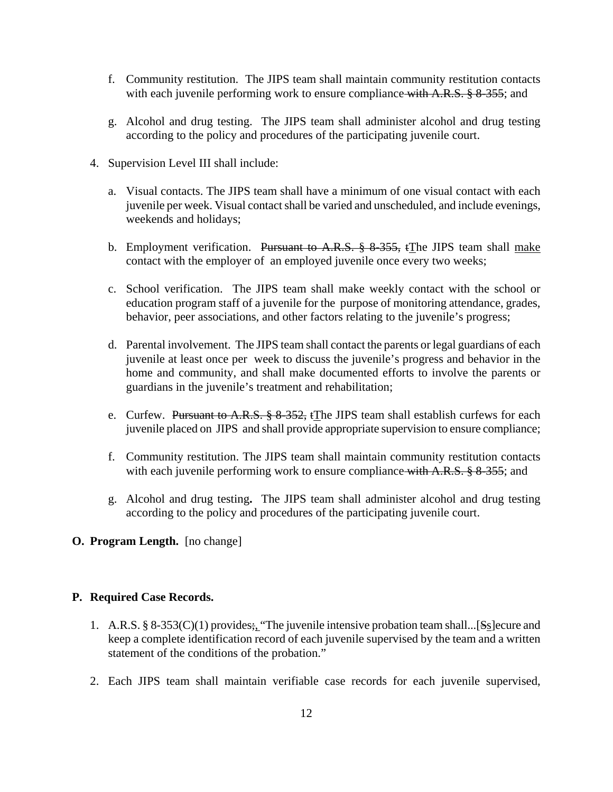- f. Community restitution. The JIPS team shall maintain community restitution contacts with each juvenile performing work to ensure compliance with A.R.S. § 8-355; and
- g. Alcohol and drug testing.The JIPS team shall administer alcohol and drug testing according to the policy and procedures of the participating juvenile court.
- 4. Supervision Level III shall include:
	- a. Visual contacts. The JIPS team shall have a minimum of one visual contact with each juvenile per week. Visual contact shall be varied and unscheduled, and include evenings, weekends and holidays;
	- b. Employment verification. Pursuant to A.R.S. § 8-355, tThe JIPS team shall make contact with the employer of an employed juvenile once every two weeks;
	- c. School verification. The JIPS team shall make weekly contact with the school or education program staff of a juvenile for the purpose of monitoring attendance, grades, behavior, peer associations, and other factors relating to the juvenile's progress;
	- d. Parental involvement. The JIPS team shall contact the parents or legal guardians of each juvenile at least once per week to discuss the juvenile's progress and behavior in the home and community, and shall make documented efforts to involve the parents or guardians in the juvenile's treatment and rehabilitation;
	- e. Curfew. Pursuant to A.R.S.  $\S 8-352$ , tThe JIPS team shall establish curfews for each juvenile placed on JIPS and shall provide appropriate supervision to ensure compliance;
	- f. Community restitution. The JIPS team shall maintain community restitution contacts with each juvenile performing work to ensure compliance with  $A.R.S. \$ §  $8-355$ ; and
	- g. Alcohol and drug testing**.** The JIPS team shall administer alcohol and drug testing according to the policy and procedures of the participating juvenile court.
- **O. Program Length.** [no change]

#### **P. Required Case Records.**

- 1. A.R.S. § 8-353(C)(1) provides;, "The juvenile intensive probation team shall...[Ss]ecure and keep a complete identification record of each juvenile supervised by the team and a written statement of the conditions of the probation."
- 2. Each JIPS team shall maintain verifiable case records for each juvenile supervised,